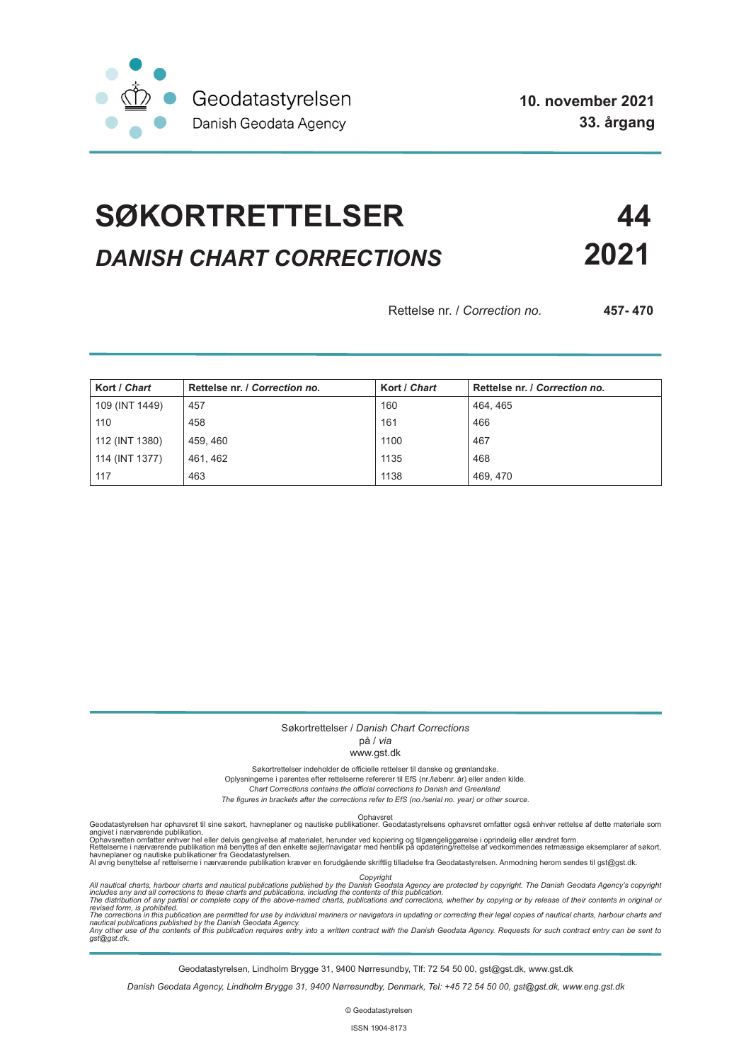

# **SØKORTRETTELSER 44** *DANISH CHART CORRECTIONS* **2021**

Rettelse nr. / *Correction no.* **457- 470**

| Kort / Chart   | Rettelse nr. / Correction no. | Kort / Chart | Rettelse nr. / Correction no. |
|----------------|-------------------------------|--------------|-------------------------------|
| 109 (INT 1449) | 457                           | 160          | 464, 465                      |
| 110            | 458                           | 161          | 466                           |
| 112 (INT 1380) | 459, 460                      | 1100         | 467                           |
| 114 (INT 1377) | 461, 462                      | 1135         | 468                           |
| 117            | 463                           | 1138         | 469, 470                      |

#### Søkortrettelser / *Danish Chart Corrections*

#### på / *via*

#### www.gst.dk

Søkortrettelser indeholder de officielle rettelser til danske og grønlandske.

Oplysningerne i parentes efter rettelserne refererer til EfS (nr./løbenr. år) eller anden kilde.

*Chart Corrections contains the official corrections to Danish and Greenland.* 

*The figures in brackets after the corrections refer to EfS (no./serial no. year) or other source.*

Ophavsret Geodatastyrelsen har ophavsret til sine søkort, havneplaner og nautiske publikationer. Geodatastyrelsens ophavsret omfatter også enhver rettelse af dette materiale som

angivet i nærværende publikation.<br>Ophavsretten omfatter enhver hel eller delvis gengivelse af materialet, herunder ved kopiering og tilgængeliggørelse i oprindelig eller ændret form.<br>Rettelserne i nærværende publikation må

Copyright<br>includes any and all corrections to these charts and publications published by the Danish Agency are protected by copyright. The Danish Geodata Agency's copyright<br>includes any and all corrections to these charts

Geodatastyrelsen, Lindholm Brygge 31, 9400 Nørresundby, Tlf: 72 54 50 00, gst@gst.dk, www.gst.dk

*Danish Geodata Agency, Lindholm Brygge 31, 9400 Nørresundby, Denmark, Tel: +45 72 54 50 00, gst@gst.dk, www.eng.gst.dk*

© Geodatastyrelsen

ISSN 1904-8173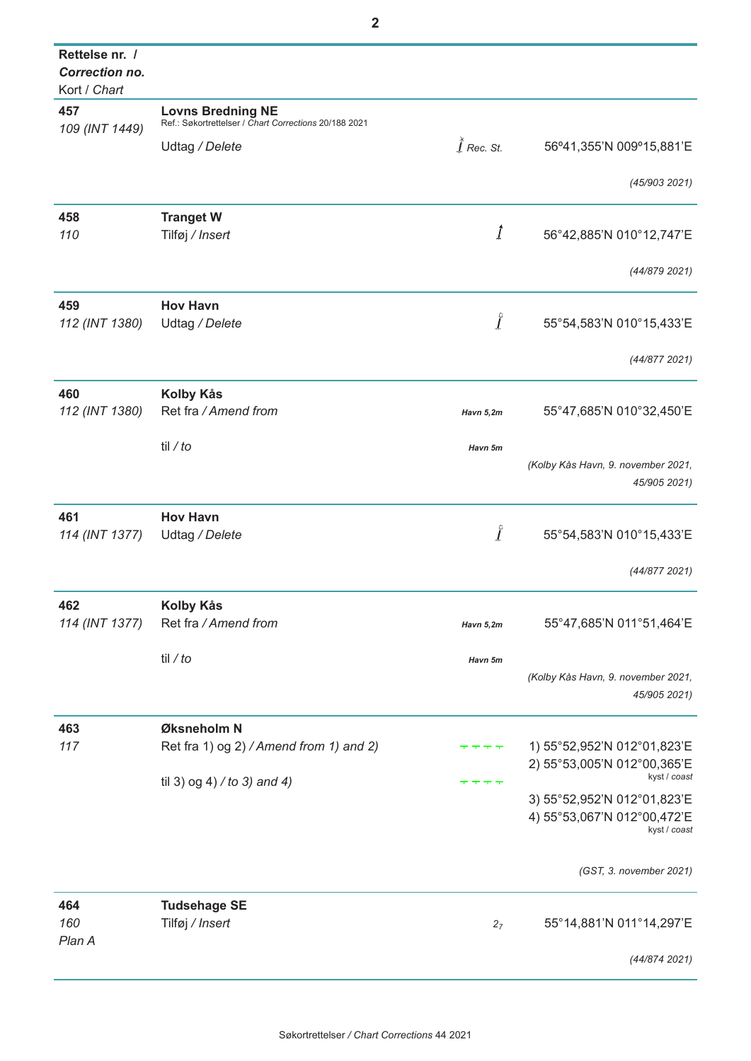| Rettelse nr. /<br><b>Correction no.</b><br>Kort / Chart |                                                                                   |                          |                                                                            |
|---------------------------------------------------------|-----------------------------------------------------------------------------------|--------------------------|----------------------------------------------------------------------------|
| 457<br>109 (INT 1449)                                   | <b>Lovns Bredning NE</b><br>Ref.: Søkortrettelser / Chart Corrections 20/188 2021 |                          |                                                                            |
|                                                         | Udtag / Delete                                                                    | $\widetilde{l}$ Rec. St. | 56°41,355'N 009°15,881'E                                                   |
|                                                         |                                                                                   |                          | (45/903 2021)                                                              |
| 458                                                     | <b>Tranget W</b>                                                                  |                          |                                                                            |
| 110                                                     | Tilføj / Insert                                                                   | $\it 1$                  | 56°42,885'N 010°12,747'E                                                   |
|                                                         |                                                                                   |                          | (44/879 2021)                                                              |
| 459                                                     | <b>Hov Havn</b>                                                                   |                          |                                                                            |
| 112 (INT 1380)                                          | Udtag / Delete                                                                    | $\int$                   | 55°54,583'N 010°15,433'E                                                   |
|                                                         |                                                                                   |                          | (44/8772021)                                                               |
| 460                                                     | Kolby Kås                                                                         |                          |                                                                            |
| 112 (INT 1380)                                          | Ret fra / Amend from                                                              | Havn 5,2m                | 55°47,685'N 010°32,450'E                                                   |
|                                                         | til / $to$                                                                        | Havn 5m                  |                                                                            |
|                                                         |                                                                                   |                          | (Kolby Kås Havn, 9. november 2021,<br>45/905 2021)                         |
| 461                                                     | <b>Hov Havn</b>                                                                   |                          |                                                                            |
| 114 (INT 1377)                                          | Udtag / Delete                                                                    | $\int$                   | 55°54,583'N 010°15,433'E                                                   |
|                                                         |                                                                                   |                          | (44/877 2021)                                                              |
| 462                                                     | <b>Kolby Kås</b>                                                                  |                          |                                                                            |
| 114 (INT 1377)                                          | Ret fra / Amend from                                                              | Havn 5,2m                | 55°47,685'N 011°51,464'E                                                   |
|                                                         | til / to                                                                          | Havn 5m                  |                                                                            |
|                                                         |                                                                                   |                          | (Kolby Kås Havn, 9. november 2021,<br>45/905 2021)                         |
| 463                                                     | Øksneholm N                                                                       |                          |                                                                            |
| 117                                                     | Ret fra 1) og 2) / Amend from 1) and 2)                                           |                          | 1) 55°52,952'N 012°01,823'E<br>2) 55°53,005'N 012°00,365'E                 |
|                                                         | til 3) og 4) / to 3) and 4)                                                       |                          | kyst / coast                                                               |
|                                                         |                                                                                   |                          | 3) 55°52,952'N 012°01,823'E<br>4) 55°53,067'N 012°00,472'E<br>kyst / coast |
|                                                         |                                                                                   |                          | (GST, 3. november 2021)                                                    |
| 464                                                     | <b>Tudsehage SE</b>                                                               |                          |                                                                            |
| 160<br>Plan A                                           | Tilføj / Insert                                                                   | 27                       | 55°14,881'N 011°14,297'E                                                   |
|                                                         |                                                                                   |                          | (44/8742021)                                                               |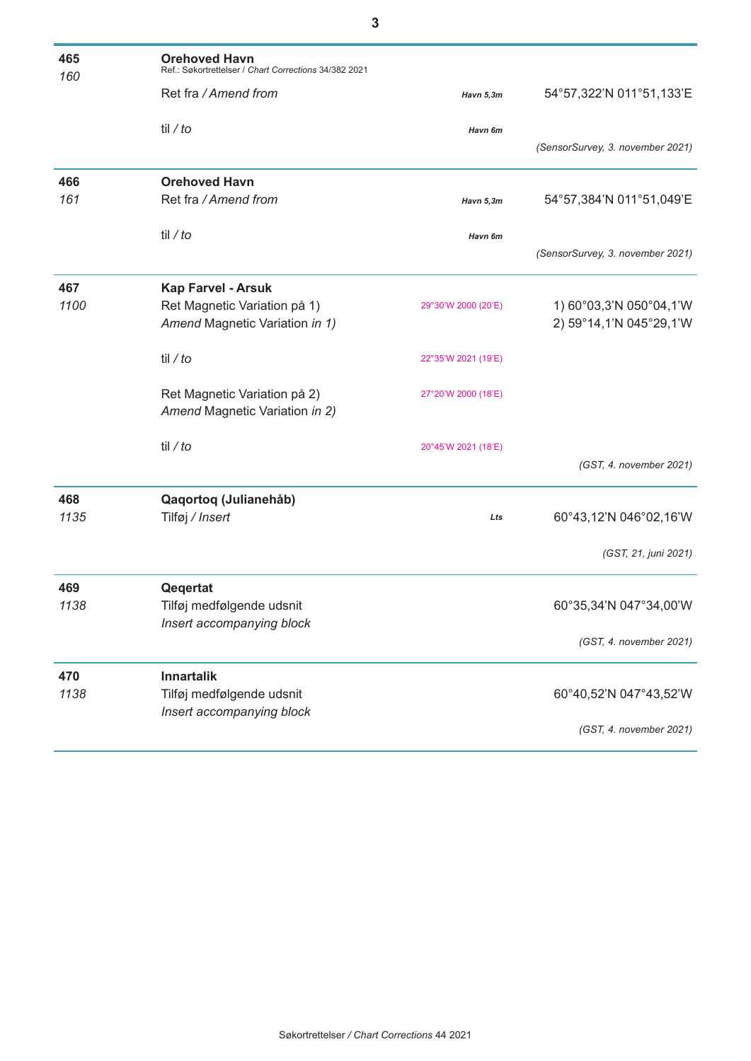| 465<br>160 | <b>Orehoved Havn</b><br>Ref.: Søkortrettelser / Chart Corrections 34/382 2021 |                     |                                  |
|------------|-------------------------------------------------------------------------------|---------------------|----------------------------------|
|            | Ret fra / Amend from                                                          | Havn 5,3m           | 54°57,322'N 011°51,133'E         |
|            | til / $to$                                                                    | Havn 6m             | (SensorSurvey, 3. november 2021) |
| 466        | <b>Orehoved Havn</b>                                                          |                     |                                  |
| 161        | Ret fra / Amend from                                                          | Havn 5,3m           | 54°57,384'N 011°51,049'E         |
|            | til / to                                                                      | Havn 6m             | (SensorSurvey, 3. november 2021) |
| 467        | <b>Kap Farvel - Arsuk</b>                                                     |                     |                                  |
| 1100       | Ret Magnetic Variation på 1)                                                  | 29°30'W 2000 (20'E) | 1) 60°03,3'N 050°04,1'W          |
|            | Amend Magnetic Variation in 1)                                                |                     | 2) 59°14,1'N 045°29,1'W          |
|            | til / $to$                                                                    | 22°35'W 2021 (19'E) |                                  |
|            | Ret Magnetic Variation på 2)<br>Amend Magnetic Variation in 2)                | 27°20'W 2000 (18'E) |                                  |
|            | til / $to$                                                                    | 20°45'W 2021 (18'E) |                                  |
|            |                                                                               |                     | (GST, 4. november 2021)          |
| 468        | Qaqortoq (Julianehåb)                                                         |                     |                                  |
| 1135       | Tilføj / Insert                                                               | Lts                 | 60°43,12'N 046°02,16'W           |
|            |                                                                               |                     | (GST, 21, juni 2021)             |
| 469        | Qeqertat                                                                      |                     |                                  |
| 1138       | Tilføj medfølgende udsnit                                                     |                     | 60°35,34'N 047°34,00'W           |
|            | Insert accompanying block                                                     |                     |                                  |
|            |                                                                               |                     | (GST, 4. november 2021)          |
| 470        | <b>Innartalik</b>                                                             |                     |                                  |
| 1138       | Tilføj medfølgende udsnit                                                     |                     | 60°40,52'N 047°43,52'W           |
|            | Insert accompanying block                                                     |                     |                                  |
|            |                                                                               |                     | (GST, 4. november 2021)          |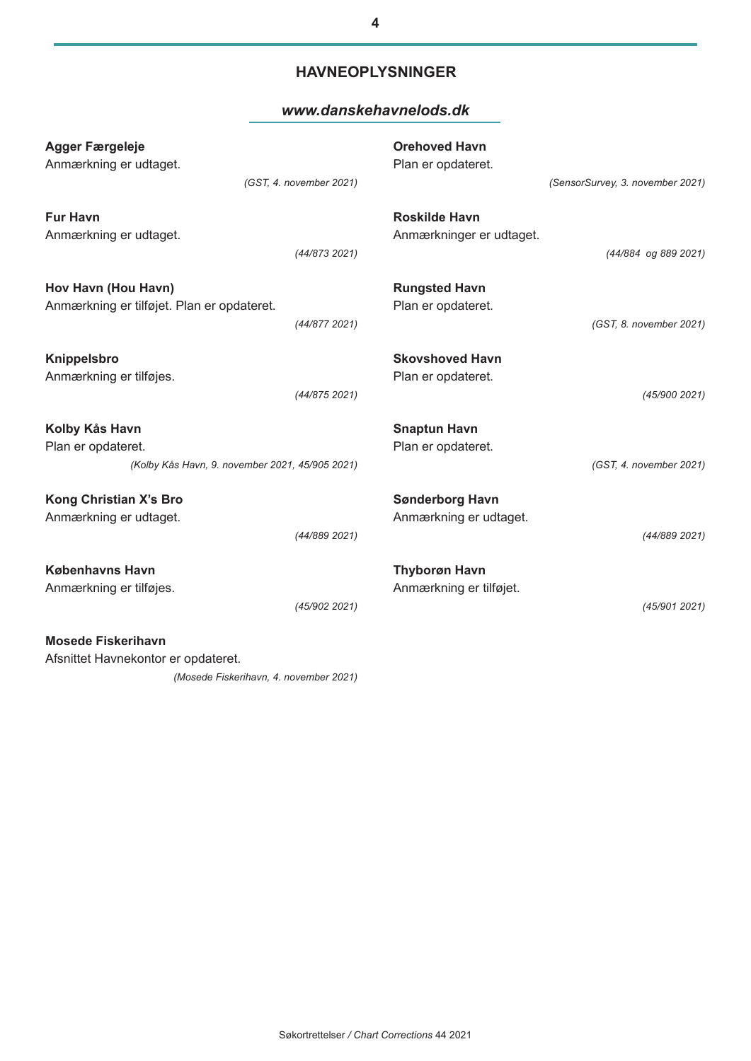### **HAVNEOPLYSNINGER**

#### *www.danskehavnelods.dk*

| <b>Agger Færgeleje</b><br>Anmærkning er udtaget.                  | (GST, 4. november 2021)                         | <b>Orehoved Havn</b><br>Plan er opdateret.       | (SensorSurvey, 3. november 2021) |
|-------------------------------------------------------------------|-------------------------------------------------|--------------------------------------------------|----------------------------------|
| <b>Fur Havn</b><br>Anmærkning er udtaget.                         | (44/8732021)                                    | <b>Roskilde Havn</b><br>Anmærkninger er udtaget. | (44/884 og 889 2021)             |
| Hov Havn (Hou Havn)<br>Anmærkning er tilføjet. Plan er opdateret. | (44/877 2021)                                   | <b>Rungsted Havn</b><br>Plan er opdateret.       | (GST, 8. november 2021)          |
| Knippelsbro<br>Anmærkning er tilføjes.                            | (44/875 2021)                                   | <b>Skovshoved Havn</b><br>Plan er opdateret.     | (45/900 2021)                    |
| Kolby Kås Havn<br>Plan er opdateret.                              | (Kolby Kås Havn, 9. november 2021, 45/905 2021) | <b>Snaptun Havn</b><br>Plan er opdateret.        | (GST, 4. november 2021)          |
| <b>Kong Christian X's Bro</b><br>Anmærkning er udtaget.           | (44/889 2021)                                   | <b>Sønderborg Havn</b><br>Anmærkning er udtaget. | (44/889 2021)                    |
| <b>Københavns Havn</b><br>Anmærkning er tilføjes.                 | (45/902 2021)                                   | <b>Thyborøn Havn</b><br>Anmærkning er tilføjet.  | (45/9012021)                     |
| <b>Mosede Fiskerihavn</b><br>Afsnittet Havnekontor er opdateret.  |                                                 |                                                  |                                  |

*(Mosede Fiskerihavn, 4. november 2021)*

Søkortrettelser */ Chart Corrections* 44 2021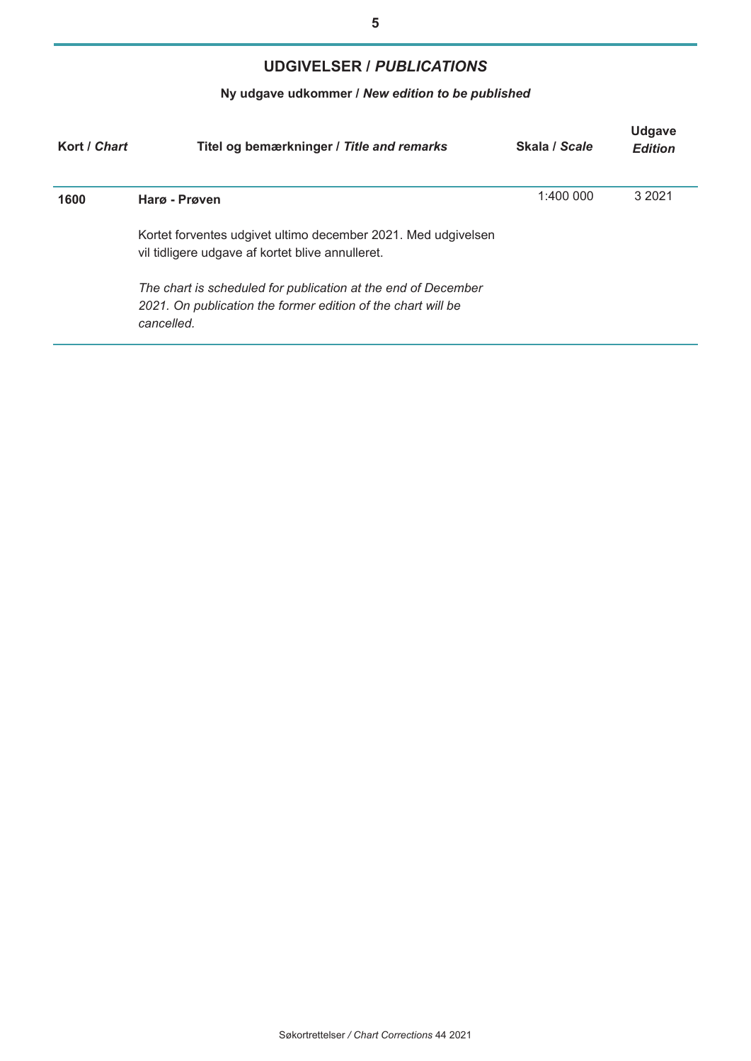# **UDGIVELSER /** *PUBLICATIONS*

# **Ny udgave udkommer /** *New edition to be published*

| Kort / Chart | Titel og bemærkninger / Title and remarks                                                                                                   | Skala / Scale | <b>Udgave</b><br><b>Edition</b> |
|--------------|---------------------------------------------------------------------------------------------------------------------------------------------|---------------|---------------------------------|
| 1600         | Harg - Prøven                                                                                                                               | 1:400 000     | 3 20 21                         |
|              | Kortet forventes udgivet ultimo december 2021. Med udgivelsen<br>vil tidligere udgave af kortet blive annulleret.                           |               |                                 |
|              | The chart is scheduled for publication at the end of December<br>2021. On publication the former edition of the chart will be<br>cancelled. |               |                                 |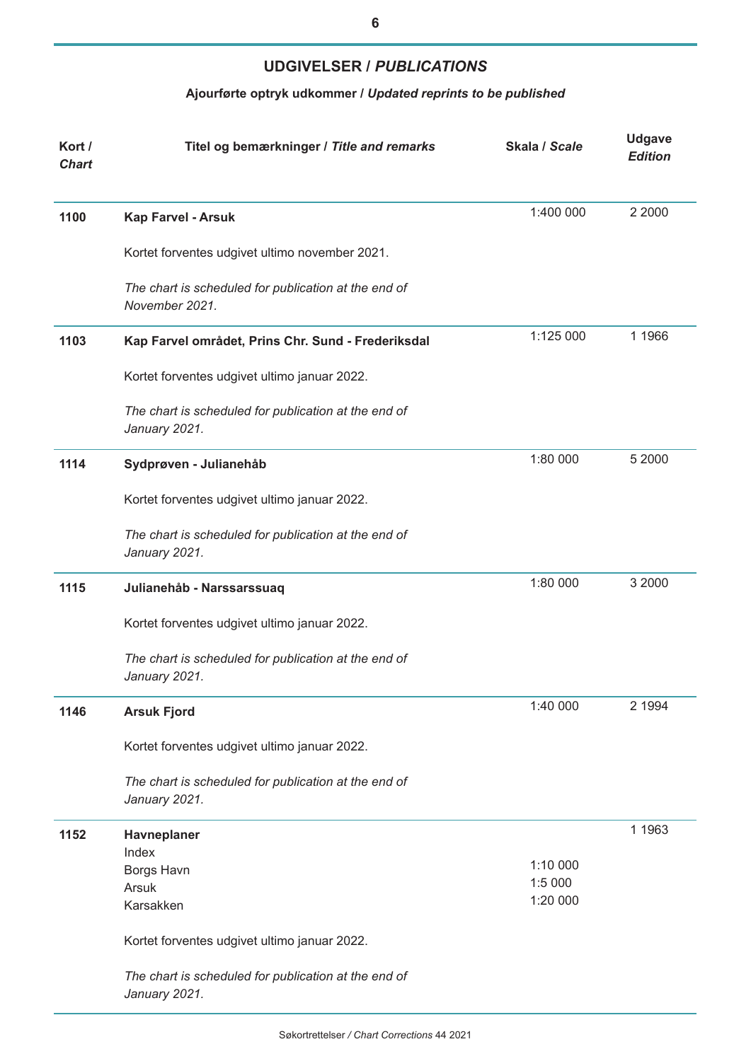## **UDGIVELSER /** *PUBLICATIONS*

# **Ajourførte optryk udkommer /** *Updated reprints to be published*

| Kort /<br><b>Chart</b> | Titel og bemærkninger / Title and remarks                              | Skala / Scale | <b>Udgave</b><br><b>Edition</b> |
|------------------------|------------------------------------------------------------------------|---------------|---------------------------------|
| 1100                   | Kap Farvel - Arsuk                                                     | 1:400 000     | 2 2000                          |
|                        | Kortet forventes udgivet ultimo november 2021.                         |               |                                 |
|                        | The chart is scheduled for publication at the end of<br>November 2021. |               |                                 |
| 1103                   | Kap Farvel området, Prins Chr. Sund - Frederiksdal                     | 1:125 000     | 1 1966                          |
|                        | Kortet forventes udgivet ultimo januar 2022.                           |               |                                 |
|                        | The chart is scheduled for publication at the end of<br>January 2021.  |               |                                 |
| 1114                   | Sydprøven - Julianehåb                                                 | 1:80 000      | 5 2000                          |
|                        | Kortet forventes udgivet ultimo januar 2022.                           |               |                                 |
|                        | The chart is scheduled for publication at the end of<br>January 2021.  |               |                                 |
| 1115                   | Julianehåb - Narssarssuaq                                              | 1:80 000      | 3 2000                          |
|                        | Kortet forventes udgivet ultimo januar 2022.                           |               |                                 |
|                        | The chart is scheduled for publication at the end of<br>January 2021.  |               |                                 |
| 1146                   | <b>Arsuk Fjord</b>                                                     | 1:40 000      | 2 1994                          |
|                        | Kortet forventes udgivet ultimo januar 2022.                           |               |                                 |
|                        | The chart is scheduled for publication at the end of<br>January 2021.  |               |                                 |
| 1152                   | Havneplaner<br>Index                                                   |               | 1 1963                          |
|                        | Borgs Havn                                                             | 1:10 000      |                                 |
|                        | Arsuk                                                                  | 1:5 000       |                                 |
|                        | Karsakken                                                              | 1:20 000      |                                 |
|                        | Kortet forventes udgivet ultimo januar 2022.                           |               |                                 |
|                        | The chart is scheduled for publication at the end of<br>January 2021.  |               |                                 |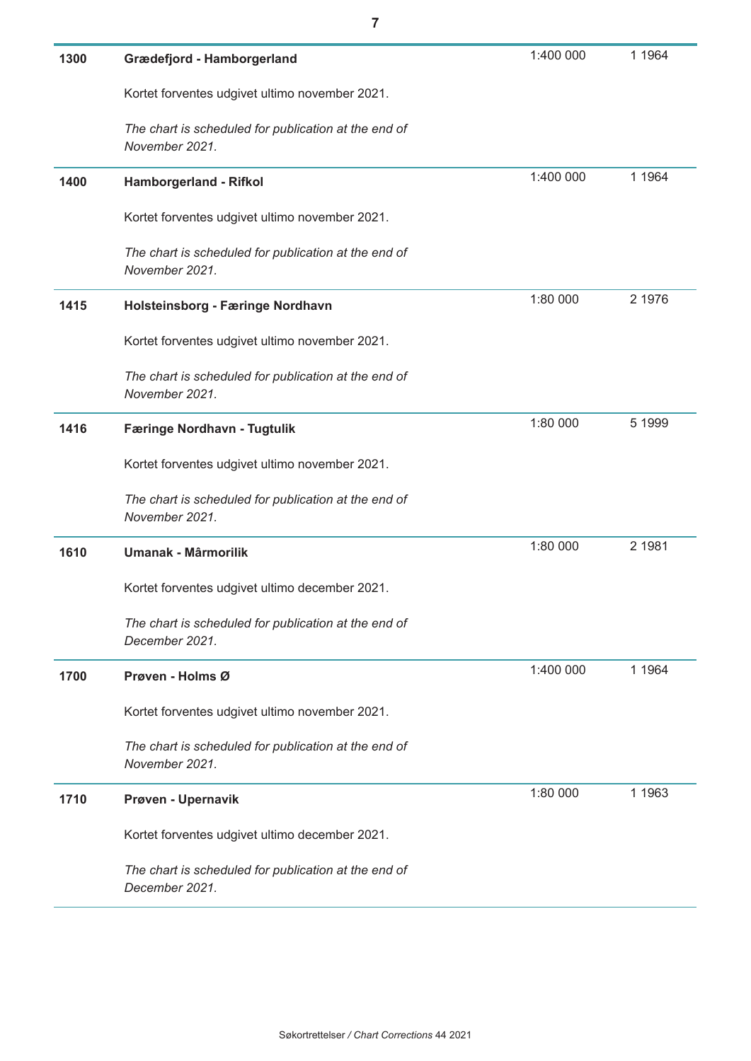| 1300 | Grædefjord - Hamborgerland                                             | 1:400 000 | 1 1 9 6 4 |
|------|------------------------------------------------------------------------|-----------|-----------|
|      | Kortet forventes udgivet ultimo november 2021.                         |           |           |
|      | The chart is scheduled for publication at the end of<br>November 2021. |           |           |
| 1400 | Hamborgerland - Rifkol                                                 | 1:400 000 | 1 1 9 6 4 |
|      | Kortet forventes udgivet ultimo november 2021.                         |           |           |
|      | The chart is scheduled for publication at the end of<br>November 2021. |           |           |
| 1415 | Holsteinsborg - Færinge Nordhavn                                       | 1:80 000  | 2 1976    |
|      | Kortet forventes udgivet ultimo november 2021.                         |           |           |
|      | The chart is scheduled for publication at the end of<br>November 2021. |           |           |
| 1416 | Færinge Nordhavn - Tugtulik                                            | 1:80 000  | 5 1999    |
|      | Kortet forventes udgivet ultimo november 2021.                         |           |           |
|      | The chart is scheduled for publication at the end of<br>November 2021. |           |           |
| 1610 | <b>Umanak - Mârmorilik</b>                                             | 1:80 000  | 2 1981    |
|      | Kortet forventes udgivet ultimo december 2021.                         |           |           |
|      | The chart is scheduled for publication at the end of<br>December 2021. |           |           |
| 1700 | Prøven - Holms Ø                                                       | 1:400 000 | 1 1 9 6 4 |
|      | Kortet forventes udgivet ultimo november 2021.                         |           |           |
|      | The chart is scheduled for publication at the end of<br>November 2021. |           |           |
| 1710 | Prøven - Upernavik                                                     | 1:80 000  | 1 1 9 6 3 |
|      | Kortet forventes udgivet ultimo december 2021.                         |           |           |
|      | The chart is scheduled for publication at the end of<br>December 2021. |           |           |

**7**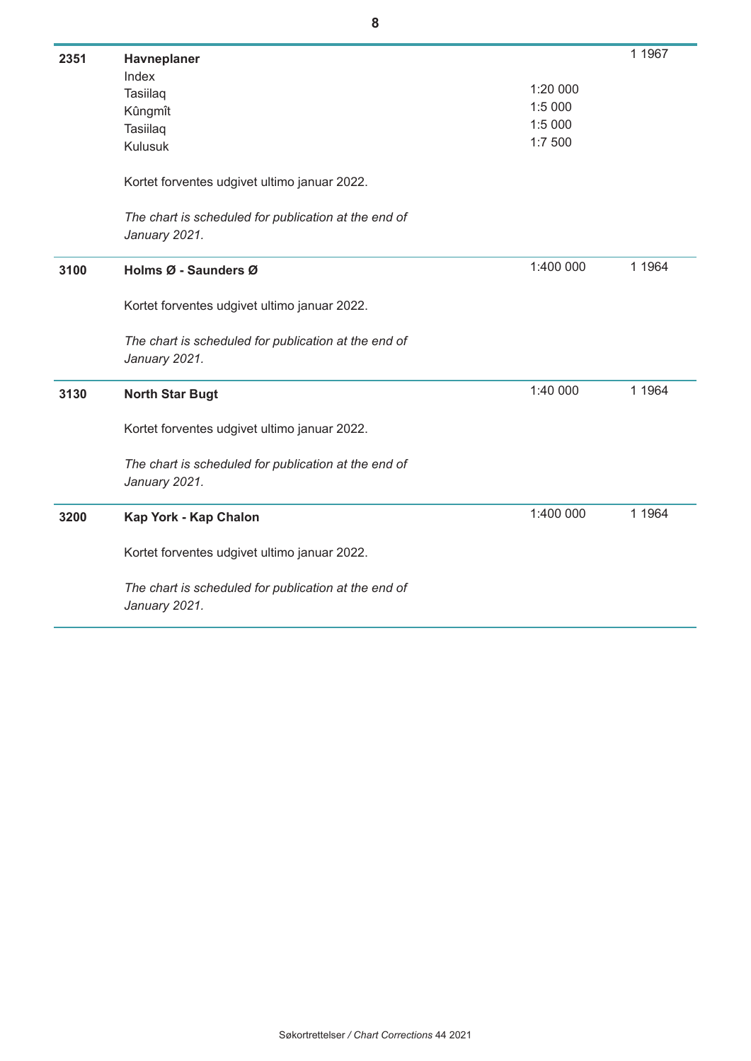| 2351 | Havneplaner                                                           |           | 1 1967    |
|------|-----------------------------------------------------------------------|-----------|-----------|
|      | Index                                                                 |           |           |
|      | Tasiilaq                                                              | 1:20 000  |           |
|      | Kûngmît                                                               | 1:5 000   |           |
|      | Tasiilaq                                                              | 1:5 000   |           |
|      | <b>Kulusuk</b>                                                        | 1:7 500   |           |
|      | Kortet forventes udgivet ultimo januar 2022.                          |           |           |
|      | The chart is scheduled for publication at the end of                  |           |           |
|      | January 2021.                                                         |           |           |
| 3100 | Holms Ø - Saunders Ø                                                  | 1:400 000 | 1 1 9 6 4 |
|      | Kortet forventes udgivet ultimo januar 2022.                          |           |           |
|      | The chart is scheduled for publication at the end of<br>January 2021. |           |           |
| 3130 | <b>North Star Bugt</b>                                                | 1:40 000  | 1 1964    |
|      | Kortet forventes udgivet ultimo januar 2022.                          |           |           |
|      | The chart is scheduled for publication at the end of<br>January 2021. |           |           |
| 3200 | Kap York - Kap Chalon                                                 | 1:400 000 | 1 1964    |
|      | Kortet forventes udgivet ultimo januar 2022.                          |           |           |
|      | The chart is scheduled for publication at the end of<br>January 2021. |           |           |